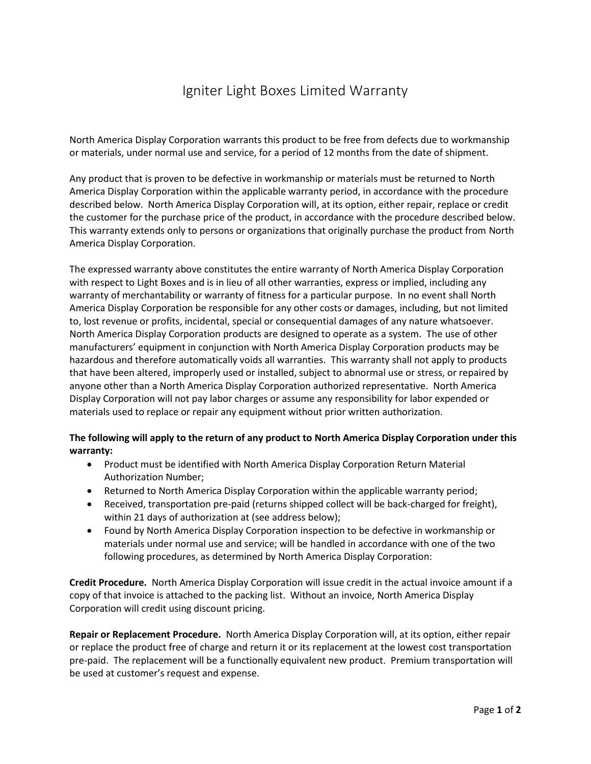## Igniter Light Boxes Limited Warranty

North America Display Corporation warrants this product to be free from defects due to workmanship or materials, under normal use and service, for a period of 12 months from the date of shipment.

Any product that is proven to be defective in workmanship or materials must be returned to North America Display Corporation within the applicable warranty period, in accordance with the procedure described below. North America Display Corporation will, at its option, either repair, replace or credit the customer for the purchase price of the product, in accordance with the procedure described below. This warranty extends only to persons or organizations that originally purchase the product from North America Display Corporation.

The expressed warranty above constitutes the entire warranty of North America Display Corporation with respect to Light Boxes and is in lieu of all other warranties, express or implied, including any warranty of merchantability or warranty of fitness for a particular purpose. In no event shall North America Display Corporation be responsible for any other costs or damages, including, but not limited to, lost revenue or profits, incidental, special or consequential damages of any nature whatsoever. North America Display Corporation products are designed to operate as a system. The use of other manufacturers' equipment in conjunction with North America Display Corporation products may be hazardous and therefore automatically voids all warranties. This warranty shall not apply to products that have been altered, improperly used or installed, subject to abnormal use or stress, or repaired by anyone other than a North America Display Corporation authorized representative. North America Display Corporation will not pay labor charges or assume any responsibility for labor expended or materials used to replace or repair any equipment without prior written authorization.

## **The following will apply to the return of any product to North America Display Corporation under this warranty:**

- Product must be identified with North America Display Corporation Return Material Authorization Number;
- Returned to North America Display Corporation within the applicable warranty period;
- Received, transportation pre-paid (returns shipped collect will be back-charged for freight), within 21 days of authorization at (see address below);
- Found by North America Display Corporation inspection to be defective in workmanship or materials under normal use and service; will be handled in accordance with one of the two following procedures, as determined by North America Display Corporation:

**Credit Procedure.** North America Display Corporation will issue credit in the actual invoice amount if a copy of that invoice is attached to the packing list. Without an invoice, North America Display Corporation will credit using discount pricing.

**Repair or Replacement Procedure.** North America Display Corporation will, at its option, either repair or replace the product free of charge and return it or its replacement at the lowest cost transportation pre-paid. The replacement will be a functionally equivalent new product. Premium transportation will be used at customer's request and expense.